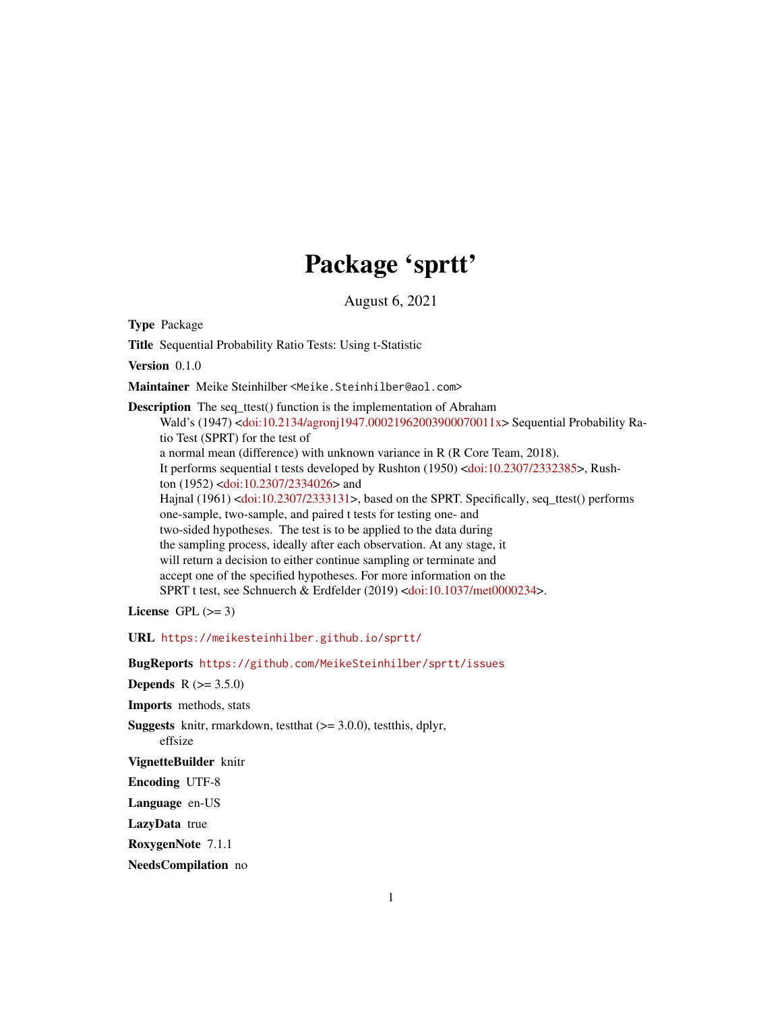# Package 'sprtt'

August 6, 2021

Type Package

Title Sequential Probability Ratio Tests: Using t-Statistic

Version 0.1.0

Maintainer Meike Steinhilber <Meike.Steinhilber@aol.com>

Description The seq\_ttest() function is the implementation of Abraham Wald's (1947) [<doi:10.2134/agronj1947.00021962003900070011x>](https://doi.org/10.2134/agronj1947.00021962003900070011x) Sequential Probability Ratio Test (SPRT) for the test of a normal mean (difference) with unknown variance in R (R Core Team, 2018). It performs sequential t tests developed by Rushton (1950) [<doi:10.2307/2332385>](https://doi.org/10.2307/2332385), Rush-ton (1952) [<doi:10.2307/2334026>](https://doi.org/10.2307/2334026) and Hajnal (1961) [<doi:10.2307/2333131>](https://doi.org/10.2307/2333131), based on the SPRT. Specifically, seq\_ttest() performs one-sample, two-sample, and paired t tests for testing one- and two-sided hypotheses. The test is to be applied to the data during the sampling process, ideally after each observation. At any stage, it will return a decision to either continue sampling or terminate and accept one of the specified hypotheses. For more information on the SPRT t test, see Schnuerch & Erdfelder (2019) [<doi:10.1037/met0000234>](https://doi.org/10.1037/met0000234).

License GPL  $(>= 3)$ 

URL <https://meikesteinhilber.github.io/sprtt/>

BugReports <https://github.com/MeikeSteinhilber/sprtt/issues>

**Depends**  $R (= 3.5.0)$ 

Imports methods, stats

**Suggests** knitr, rmarkdown, test that  $(>= 3.0.0)$ , test this, dplyr,

effsize

VignetteBuilder knitr

Encoding UTF-8

Language en-US

LazyData true

RoxygenNote 7.1.1

NeedsCompilation no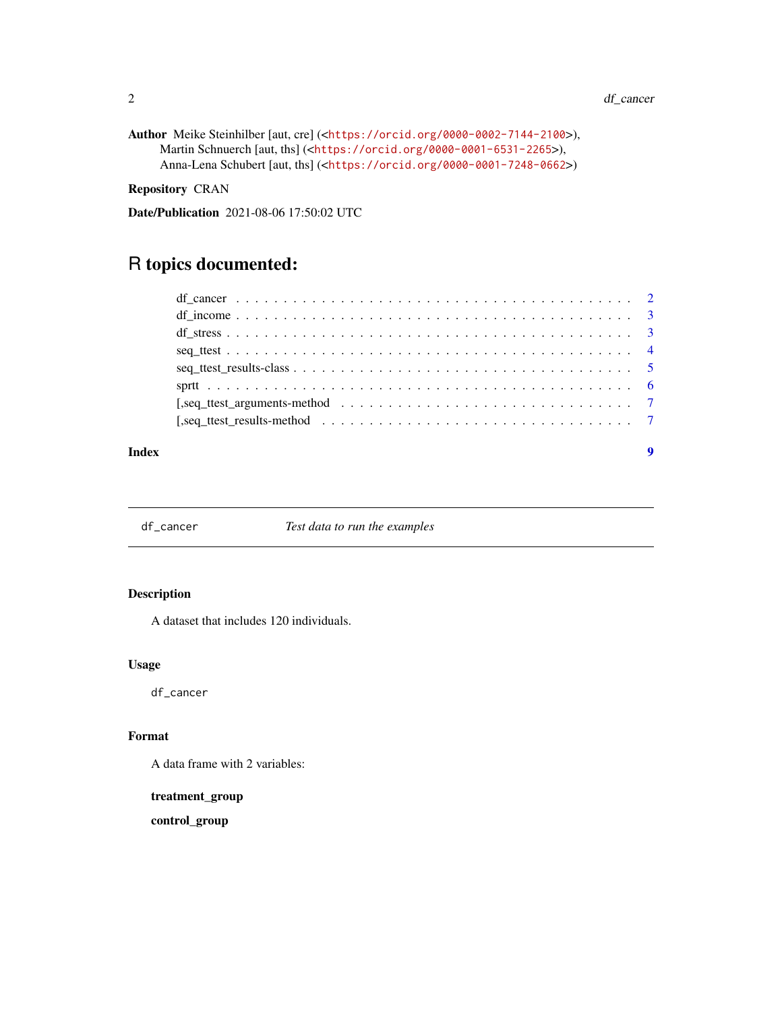```
Author Meike Steinhilber [aut, cre] (<https://orcid.org/0000-0002-7144-2100>),
     Martin Schnuerch [aut, ths] (<https://orcid.org/0000-0001-6531-2265>),
     Anna-Lena Schubert [aut, ths] (<https://orcid.org/0000-0001-7248-0662>)
```
Repository CRAN

Date/Publication 2021-08-06 17:50:02 UTC

# R topics documented:

#### **Index** [9](#page-8-0)

df\_cancer *Test data to run the examples*

#### Description

A dataset that includes 120 individuals.

#### Usage

df\_cancer

#### Format

A data frame with 2 variables:

treatment\_group

control\_group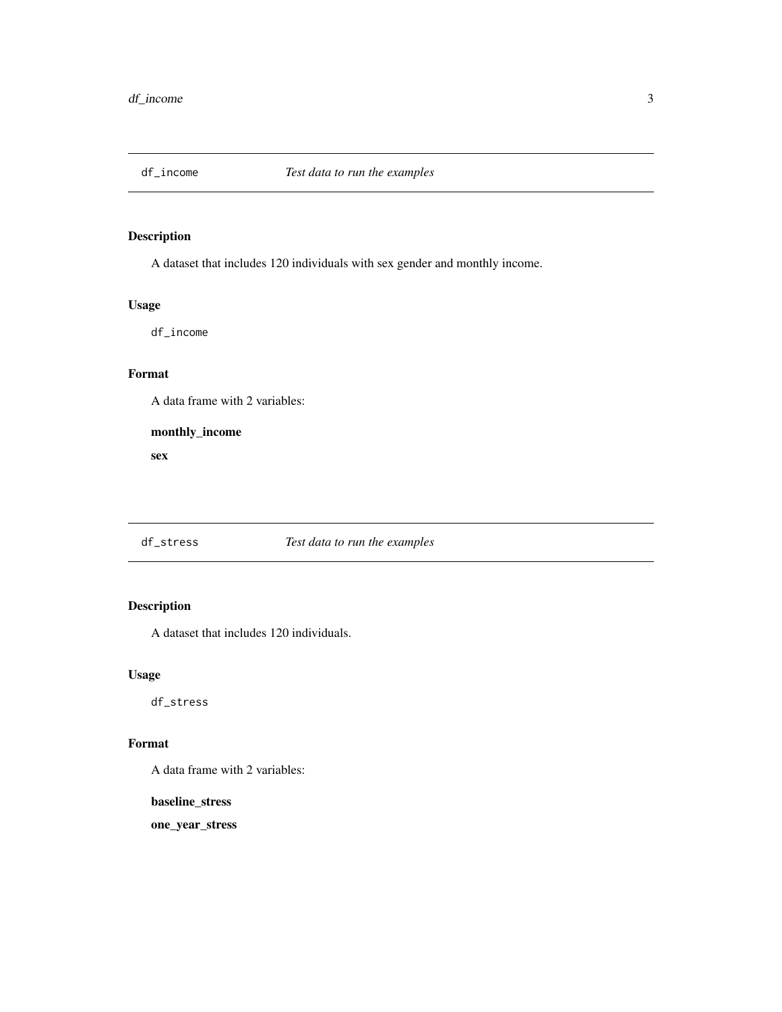<span id="page-2-0"></span>

#### Description

A dataset that includes 120 individuals with sex gender and monthly income.

# Usage

df\_income

## Format

A data frame with 2 variables:

monthly\_income

sex

#### df\_stress *Test data to run the examples*

## Description

A dataset that includes 120 individuals.

#### Usage

df\_stress

#### Format

A data frame with 2 variables:

baseline\_stress

one\_year\_stress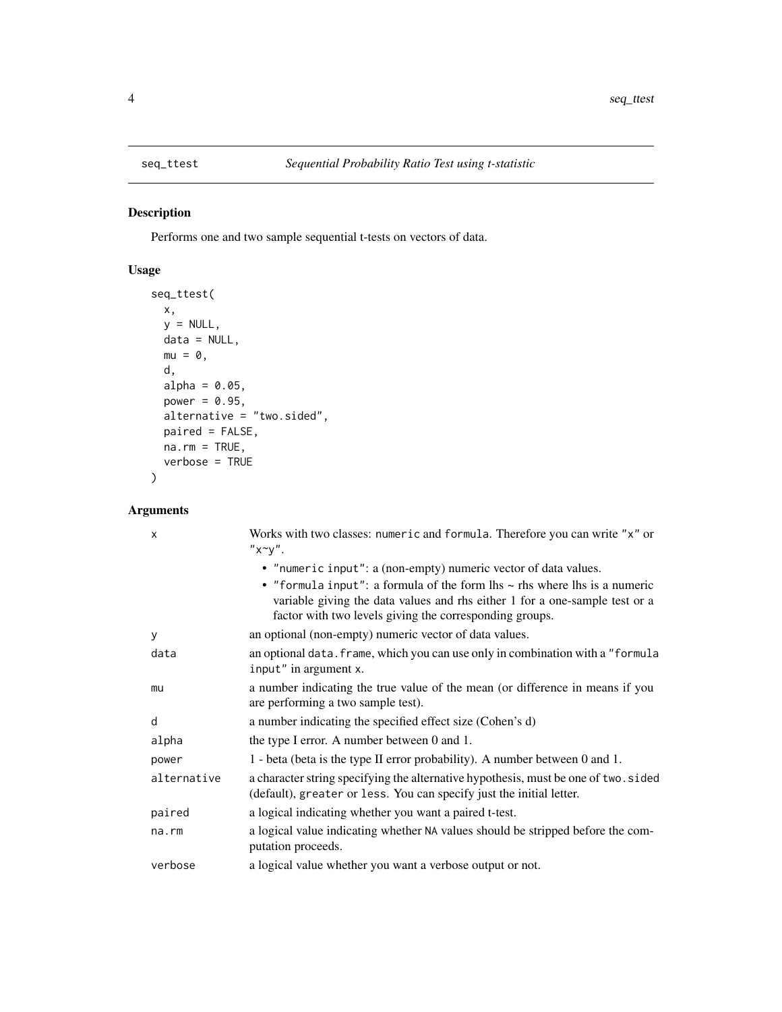<span id="page-3-1"></span><span id="page-3-0"></span>

## Description

Performs one and two sample sequential t-tests on vectors of data.

#### Usage

```
seq_ttest(
 x,
 y = NULL,data = NULL,mu = 0,
 d,
 alpha = 0.05,
 power = 0.95,
 alternative = "two.sided",
 paired = FALSE,
 na.rm = TRUE,verbose = TRUE
)
```
#### Arguments

| X           | Works with two classes: numeric and formula. Therefore you can write "x" or<br>$"x^y''$ .                                                                                                                                                                                                         |
|-------------|---------------------------------------------------------------------------------------------------------------------------------------------------------------------------------------------------------------------------------------------------------------------------------------------------|
|             | • "numeric input": a (non-empty) numeric vector of data values.<br>• "formula input": a formula of the form $\ln s \sim$ rhs where $\ln s$ is a numeric<br>variable giving the data values and rhs either 1 for a one-sample test or a<br>factor with two levels giving the corresponding groups. |
| У           | an optional (non-empty) numeric vector of data values.                                                                                                                                                                                                                                            |
| data        | an optional data. frame, which you can use only in combination with a "formula<br>input" in argument x.                                                                                                                                                                                           |
| mu          | a number indicating the true value of the mean (or difference in means if you<br>are performing a two sample test).                                                                                                                                                                               |
| d           | a number indicating the specified effect size (Cohen's d)                                                                                                                                                                                                                                         |
| alpha       | the type I error. A number between 0 and 1.                                                                                                                                                                                                                                                       |
| power       | 1 - beta (beta is the type II error probability). A number between 0 and 1.                                                                                                                                                                                                                       |
| alternative | a character string specifying the alternative hypothesis, must be one of two. sided<br>(default), greater or less. You can specify just the initial letter.                                                                                                                                       |
| paired      | a logical indicating whether you want a paired t-test.                                                                                                                                                                                                                                            |
| $na$ . $rm$ | a logical value indicating whether NA values should be stripped before the com-<br>putation proceeds.                                                                                                                                                                                             |
| verbose     | a logical value whether you want a verbose output or not.                                                                                                                                                                                                                                         |
|             |                                                                                                                                                                                                                                                                                                   |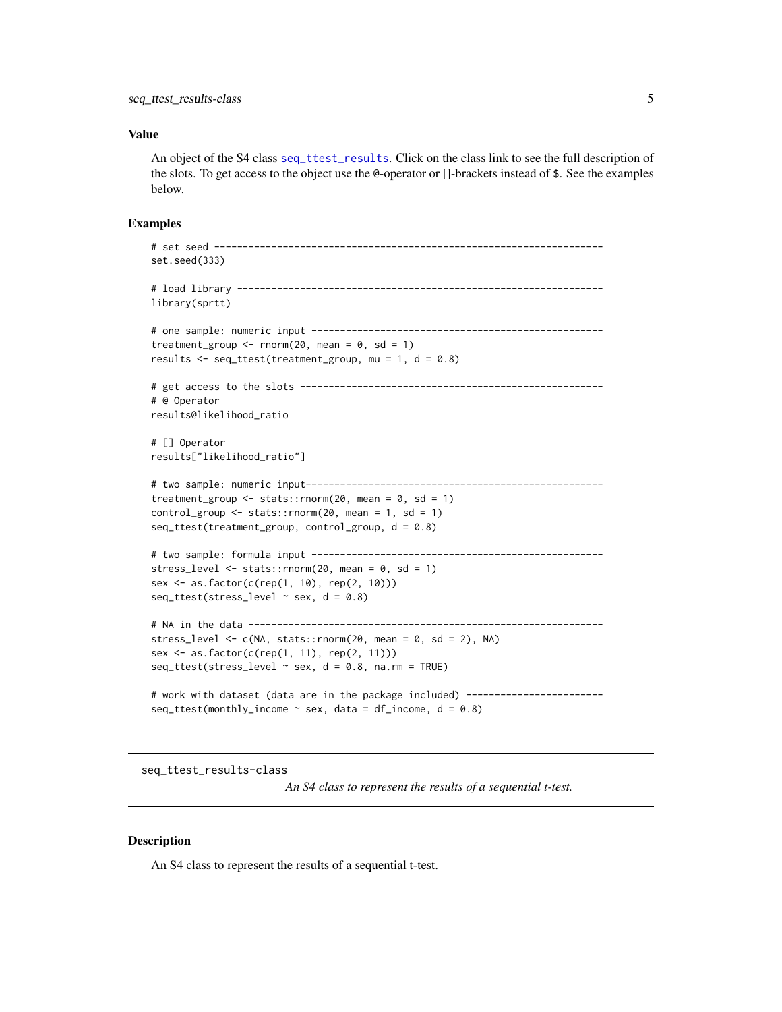#### <span id="page-4-0"></span>Value

An object of the S4 class [seq\\_ttest\\_results](#page-4-1). Click on the class link to see the full description of the slots. To get access to the object use the @-operator or []-brackets instead of \$. See the examples below.

#### Examples

```
# set seed --------------------------------------------------------------------
set.seed(333)
# load library ----------------------------------------------------------------
library(sprtt)
# one sample: numeric input ---------------------------------------------------
treatment_group <- rnorm(20, mean = 0, sd = 1)results \leq seq_ttest(treatment_group, mu = 1, d = 0.8)
# get access to the slots -----------------------------------------------------
# @ Operator
results@likelihood_ratio
# [] Operator
results["likelihood_ratio"]
# two sample: numeric input----------------------------------------------------
treatment_group \le stats:: rnorm(20, mean = 0, sd = 1)
control\_group \leq - stats::rnorm(20, mean = 1, sd = 1)seq_ttest(treatment_group, control_group, d = 0.8)
# two sample: formula input ---------------------------------------------------
stress_level <- stats::rnorm(20, mean = 0, sd = 1)
sex <- as.factor(c(rep(1, 10), rep(2, 10)))
seq\_ttest(stress\_level ~ sex, d = 0.8)# NA in the data --------------------------------------------------------------
stress_level <- c(NA, stats::rnorm(20, mean = 0, sd = 2), NA)sex <- as.factor(c(rep(1, 11), rep(2, 11)))
seq\_ttest(stress\_level ~ x sex, d = 0.8, na.rm = TRUE)# work with dataset (data are in the package included) ------------------------
seq\_ttest(monthly_income ~ sex, data = df_income, d = 0.8)
```
<span id="page-4-1"></span>seq\_ttest\_results-class

*An S4 class to represent the results of a sequential t-test.*

#### **Description**

An S4 class to represent the results of a sequential t-test.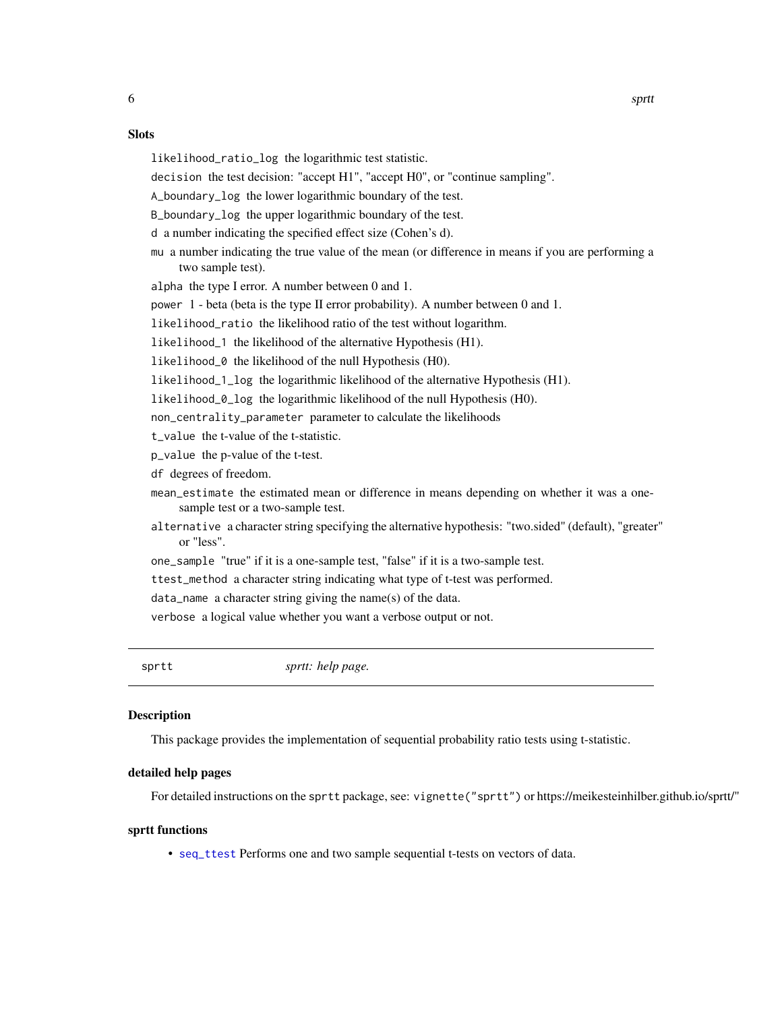- <span id="page-5-0"></span>likelihood\_ratio\_log the logarithmic test statistic.
- decision the test decision: "accept H1", "accept H0", or "continue sampling".

A\_boundary\_log the lower logarithmic boundary of the test.

B\_boundary\_log the upper logarithmic boundary of the test.

d a number indicating the specified effect size (Cohen's d).

mu a number indicating the true value of the mean (or difference in means if you are performing a two sample test).

alpha the type I error. A number between 0 and 1.

power 1 - beta (beta is the type II error probability). A number between 0 and 1.

likelihood\_ratio the likelihood ratio of the test without logarithm.

likelihood\_1 the likelihood of the alternative Hypothesis (H1).

likelihood\_0 the likelihood of the null Hypothesis (H0).

likelihood\_1\_log the logarithmic likelihood of the alternative Hypothesis (H1).

likelihood\_0\_log the logarithmic likelihood of the null Hypothesis (H0).

non\_centrality\_parameter parameter to calculate the likelihoods

t\_value the t-value of the t-statistic.

p\_value the p-value of the t-test.

df degrees of freedom.

mean\_estimate the estimated mean or difference in means depending on whether it was a onesample test or a two-sample test.

- alternative a character string specifying the alternative hypothesis: "two.sided" (default), "greater" or "less".
- one\_sample "true" if it is a one-sample test, "false" if it is a two-sample test.
- ttest\_method a character string indicating what type of t-test was performed.

data\_name a character string giving the name(s) of the data.

verbose a logical value whether you want a verbose output or not.

sprtt *sprtt: help page.*

#### **Description**

This package provides the implementation of sequential probability ratio tests using t-statistic.

#### detailed help pages

For detailed instructions on the sprtt package, see: vignette("sprtt") or https://meikesteinhilber.github.io/sprtt/"

#### sprtt functions

• [seq\\_ttest](#page-3-1) Performs one and two sample sequential t-tests on vectors of data.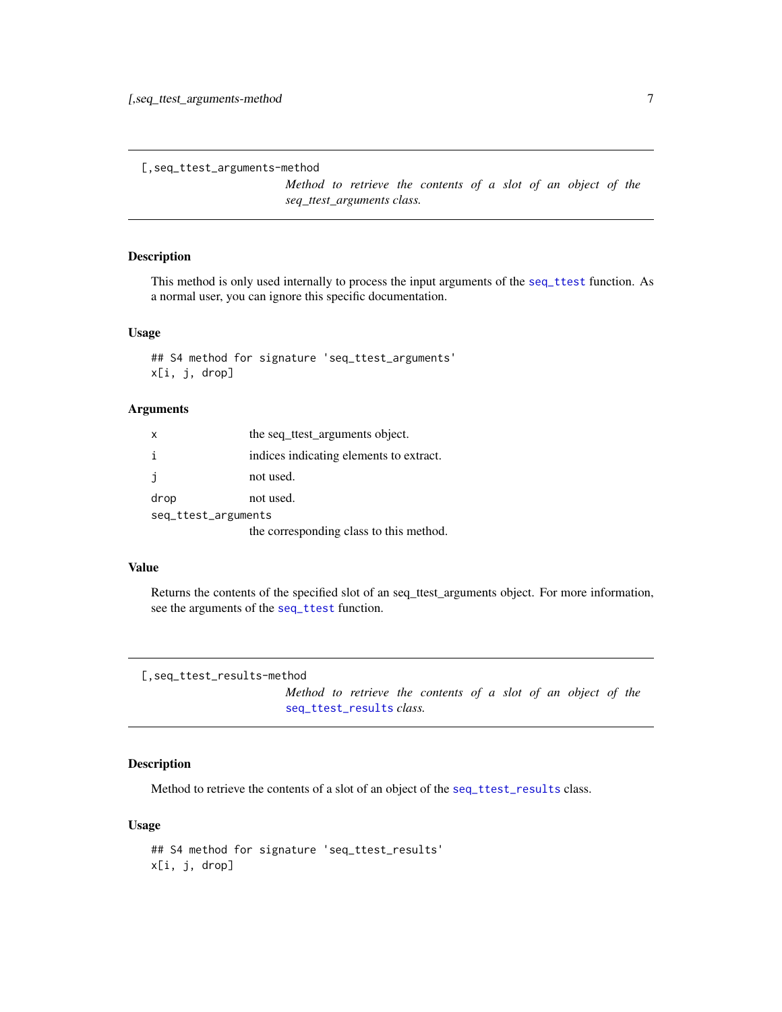```
[,seq_ttest_arguments-method
```
*Method to retrieve the contents of a slot of an object of the seq\_ttest\_arguments class.*

#### Description

This method is only used internally to process the input arguments of the [seq\\_ttest](#page-3-1) function. As a normal user, you can ignore this specific documentation.

#### Usage

## S4 method for signature 'seq\_ttest\_arguments' x[i, j, drop]

#### Arguments

| X                   | the seq ttest arguments object.         |  |  |  |  |  |
|---------------------|-----------------------------------------|--|--|--|--|--|
| i.                  | indices indicating elements to extract. |  |  |  |  |  |
|                     | not used.                               |  |  |  |  |  |
| drop                | not used.                               |  |  |  |  |  |
| seq_ttest_arguments |                                         |  |  |  |  |  |
|                     | the corresponding class to this method. |  |  |  |  |  |

#### Value

Returns the contents of the specified slot of an seq\_ttest\_arguments object. For more information, see the arguments of the [seq\\_ttest](#page-3-1) function.

```
[,seq_ttest_results-method
```
*Method to retrieve the contents of a slot of an object of the* [seq\\_ttest\\_results](#page-4-1) *class.*

#### Description

Method to retrieve the contents of a slot of an object of the [seq\\_ttest\\_results](#page-4-1) class.

#### Usage

```
## S4 method for signature 'seq_ttest_results'
x[i, j, drop]
```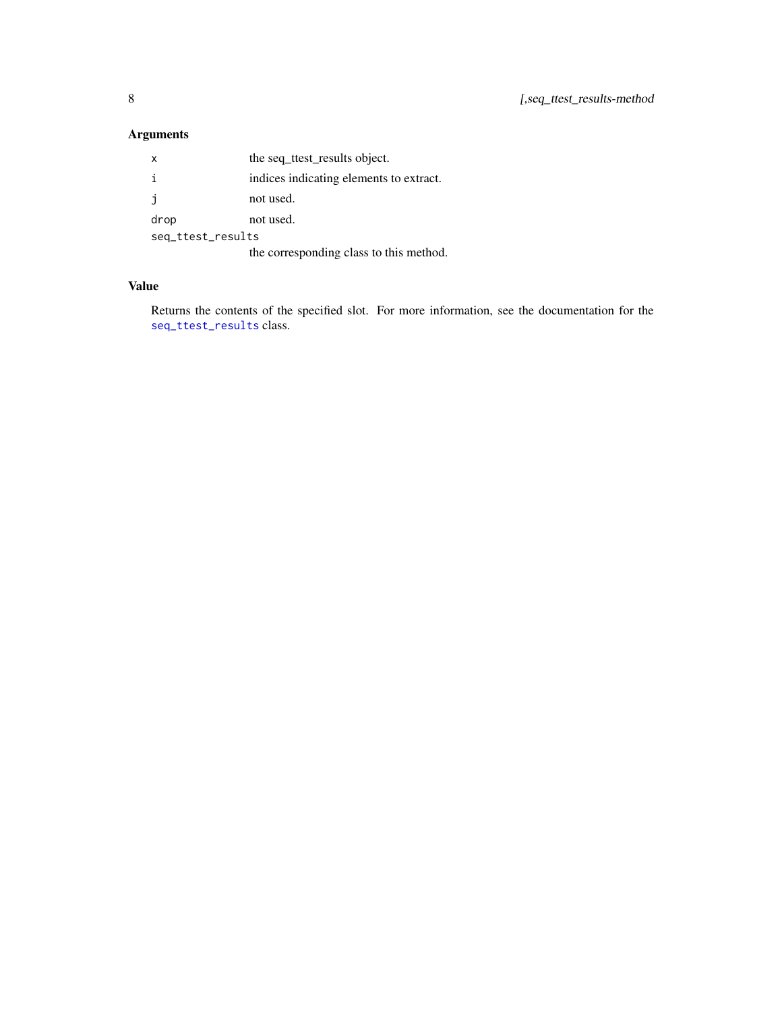# <span id="page-7-0"></span>Arguments

| X                 | the seq ttest results object.           |  |  |  |  |  |
|-------------------|-----------------------------------------|--|--|--|--|--|
| i                 | indices indicating elements to extract. |  |  |  |  |  |
| j.                | not used.                               |  |  |  |  |  |
| drop              | not used.                               |  |  |  |  |  |
| seq_ttest_results |                                         |  |  |  |  |  |
|                   | the corresponding class to this method. |  |  |  |  |  |

#### Value

Returns the contents of the specified slot. For more information, see the documentation for the [seq\\_ttest\\_results](#page-4-1) class.